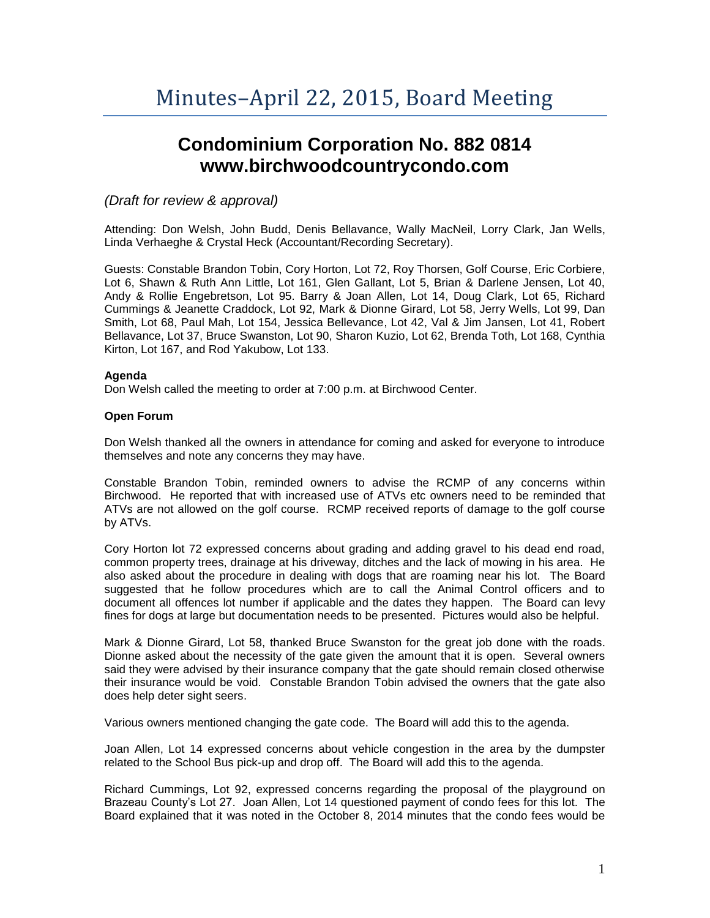# **Condominium Corporation No. 882 0814 www.birchwoodcountrycondo.com**

## *(Draft for review & approval)*

Attending: Don Welsh, John Budd, Denis Bellavance, Wally MacNeil, Lorry Clark, Jan Wells, Linda Verhaeghe & Crystal Heck (Accountant/Recording Secretary).

Guests: Constable Brandon Tobin, Cory Horton, Lot 72, Roy Thorsen, Golf Course, Eric Corbiere, Lot 6, Shawn & Ruth Ann Little, Lot 161, Glen Gallant, Lot 5, Brian & Darlene Jensen, Lot 40, Andy & Rollie Engebretson, Lot 95. Barry & Joan Allen, Lot 14, Doug Clark, Lot 65, Richard Cummings & Jeanette Craddock, Lot 92, Mark & Dionne Girard, Lot 58, Jerry Wells, Lot 99, Dan Smith, Lot 68, Paul Mah, Lot 154, Jessica Bellevance, Lot 42, Val & Jim Jansen, Lot 41, Robert Bellavance, Lot 37, Bruce Swanston, Lot 90, Sharon Kuzio, Lot 62, Brenda Toth, Lot 168, Cynthia Kirton, Lot 167, and Rod Yakubow, Lot 133.

## **Agenda**

Don Welsh called the meeting to order at 7:00 p.m. at Birchwood Center.

## **Open Forum**

Don Welsh thanked all the owners in attendance for coming and asked for everyone to introduce themselves and note any concerns they may have.

Constable Brandon Tobin, reminded owners to advise the RCMP of any concerns within Birchwood. He reported that with increased use of ATVs etc owners need to be reminded that ATVs are not allowed on the golf course. RCMP received reports of damage to the golf course by ATVs.

Cory Horton lot 72 expressed concerns about grading and adding gravel to his dead end road, common property trees, drainage at his driveway, ditches and the lack of mowing in his area. He also asked about the procedure in dealing with dogs that are roaming near his lot. The Board suggested that he follow procedures which are to call the Animal Control officers and to document all offences lot number if applicable and the dates they happen. The Board can levy fines for dogs at large but documentation needs to be presented. Pictures would also be helpful.

Mark & Dionne Girard, Lot 58, thanked Bruce Swanston for the great job done with the roads. Dionne asked about the necessity of the gate given the amount that it is open. Several owners said they were advised by their insurance company that the gate should remain closed otherwise their insurance would be void. Constable Brandon Tobin advised the owners that the gate also does help deter sight seers.

Various owners mentioned changing the gate code. The Board will add this to the agenda.

Joan Allen, Lot 14 expressed concerns about vehicle congestion in the area by the dumpster related to the School Bus pick-up and drop off. The Board will add this to the agenda.

Richard Cummings, Lot 92, expressed concerns regarding the proposal of the playground on Brazeau County's Lot 27. Joan Allen, Lot 14 questioned payment of condo fees for this lot. The Board explained that it was noted in the October 8, 2014 minutes that the condo fees would be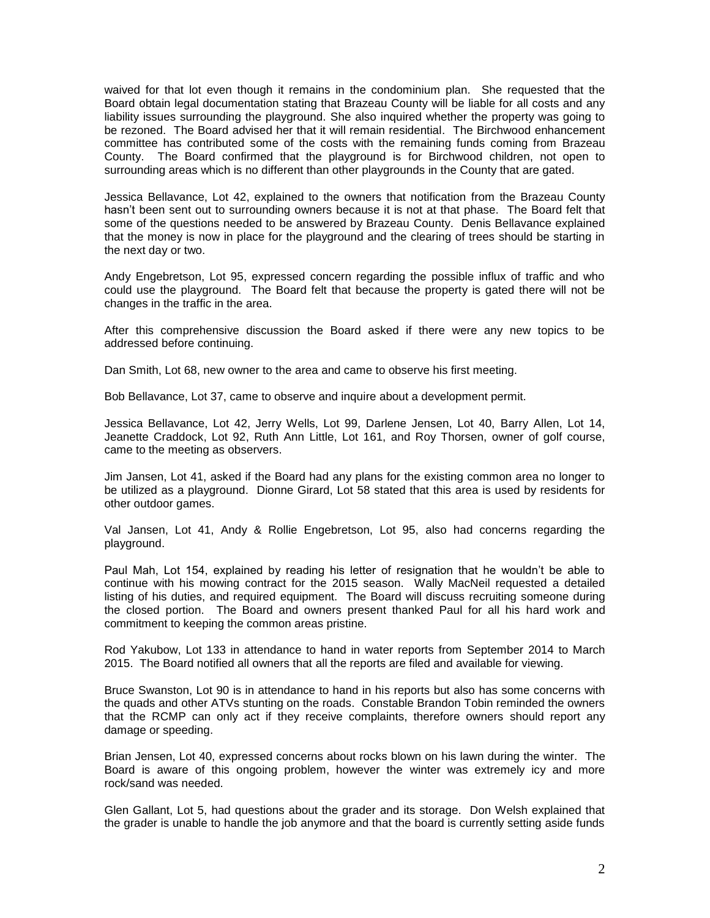waived for that lot even though it remains in the condominium plan. She requested that the Board obtain legal documentation stating that Brazeau County will be liable for all costs and any liability issues surrounding the playground. She also inquired whether the property was going to be rezoned. The Board advised her that it will remain residential. The Birchwood enhancement committee has contributed some of the costs with the remaining funds coming from Brazeau County. The Board confirmed that the playground is for Birchwood children, not open to surrounding areas which is no different than other playgrounds in the County that are gated.

Jessica Bellavance, Lot 42, explained to the owners that notification from the Brazeau County hasn't been sent out to surrounding owners because it is not at that phase. The Board felt that some of the questions needed to be answered by Brazeau County. Denis Bellavance explained that the money is now in place for the playground and the clearing of trees should be starting in the next day or two.

Andy Engebretson, Lot 95, expressed concern regarding the possible influx of traffic and who could use the playground. The Board felt that because the property is gated there will not be changes in the traffic in the area.

After this comprehensive discussion the Board asked if there were any new topics to be addressed before continuing.

Dan Smith, Lot 68, new owner to the area and came to observe his first meeting.

Bob Bellavance, Lot 37, came to observe and inquire about a development permit.

Jessica Bellavance, Lot 42, Jerry Wells, Lot 99, Darlene Jensen, Lot 40, Barry Allen, Lot 14, Jeanette Craddock, Lot 92, Ruth Ann Little, Lot 161, and Roy Thorsen, owner of golf course, came to the meeting as observers.

Jim Jansen, Lot 41, asked if the Board had any plans for the existing common area no longer to be utilized as a playground. Dionne Girard, Lot 58 stated that this area is used by residents for other outdoor games.

Val Jansen, Lot 41, Andy & Rollie Engebretson, Lot 95, also had concerns regarding the playground.

Paul Mah, Lot 154, explained by reading his letter of resignation that he wouldn't be able to continue with his mowing contract for the 2015 season. Wally MacNeil requested a detailed listing of his duties, and required equipment. The Board will discuss recruiting someone during the closed portion. The Board and owners present thanked Paul for all his hard work and commitment to keeping the common areas pristine.

Rod Yakubow, Lot 133 in attendance to hand in water reports from September 2014 to March 2015. The Board notified all owners that all the reports are filed and available for viewing.

Bruce Swanston, Lot 90 is in attendance to hand in his reports but also has some concerns with the quads and other ATVs stunting on the roads. Constable Brandon Tobin reminded the owners that the RCMP can only act if they receive complaints, therefore owners should report any damage or speeding.

Brian Jensen, Lot 40, expressed concerns about rocks blown on his lawn during the winter. The Board is aware of this ongoing problem, however the winter was extremely icy and more rock/sand was needed.

Glen Gallant, Lot 5, had questions about the grader and its storage. Don Welsh explained that the grader is unable to handle the job anymore and that the board is currently setting aside funds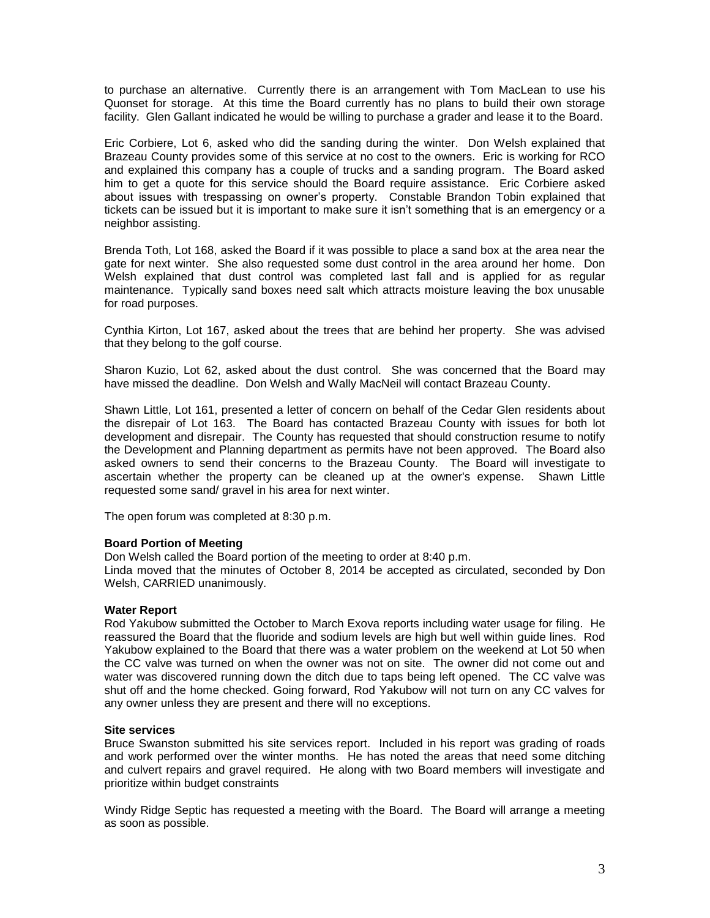to purchase an alternative. Currently there is an arrangement with Tom MacLean to use his Quonset for storage. At this time the Board currently has no plans to build their own storage facility. Glen Gallant indicated he would be willing to purchase a grader and lease it to the Board.

Eric Corbiere, Lot 6, asked who did the sanding during the winter. Don Welsh explained that Brazeau County provides some of this service at no cost to the owners. Eric is working for RCO and explained this company has a couple of trucks and a sanding program. The Board asked him to get a quote for this service should the Board require assistance. Eric Corbiere asked about issues with trespassing on owner's property. Constable Brandon Tobin explained that tickets can be issued but it is important to make sure it isn't something that is an emergency or a neighbor assisting.

Brenda Toth, Lot 168, asked the Board if it was possible to place a sand box at the area near the gate for next winter. She also requested some dust control in the area around her home. Don Welsh explained that dust control was completed last fall and is applied for as regular maintenance. Typically sand boxes need salt which attracts moisture leaving the box unusable for road purposes.

Cynthia Kirton, Lot 167, asked about the trees that are behind her property. She was advised that they belong to the golf course.

Sharon Kuzio, Lot 62, asked about the dust control. She was concerned that the Board may have missed the deadline. Don Welsh and Wally MacNeil will contact Brazeau County.

Shawn Little, Lot 161, presented a letter of concern on behalf of the Cedar Glen residents about the disrepair of Lot 163. The Board has contacted Brazeau County with issues for both lot development and disrepair. The County has requested that should construction resume to notify the Development and Planning department as permits have not been approved. The Board also asked owners to send their concerns to the Brazeau County. The Board will investigate to ascertain whether the property can be cleaned up at the owner's expense. Shawn Little requested some sand/ gravel in his area for next winter.

The open forum was completed at 8:30 p.m.

## **Board Portion of Meeting**

Don Welsh called the Board portion of the meeting to order at 8:40 p.m.

Linda moved that the minutes of October 8, 2014 be accepted as circulated, seconded by Don Welsh, CARRIED unanimously.

## **Water Report**

Rod Yakubow submitted the October to March Exova reports including water usage for filing. He reassured the Board that the fluoride and sodium levels are high but well within guide lines. Rod Yakubow explained to the Board that there was a water problem on the weekend at Lot 50 when the CC valve was turned on when the owner was not on site. The owner did not come out and water was discovered running down the ditch due to taps being left opened. The CC valve was shut off and the home checked. Going forward, Rod Yakubow will not turn on any CC valves for any owner unless they are present and there will no exceptions.

## **Site services**

Bruce Swanston submitted his site services report. Included in his report was grading of roads and work performed over the winter months. He has noted the areas that need some ditching and culvert repairs and gravel required. He along with two Board members will investigate and prioritize within budget constraints

Windy Ridge Septic has requested a meeting with the Board. The Board will arrange a meeting as soon as possible.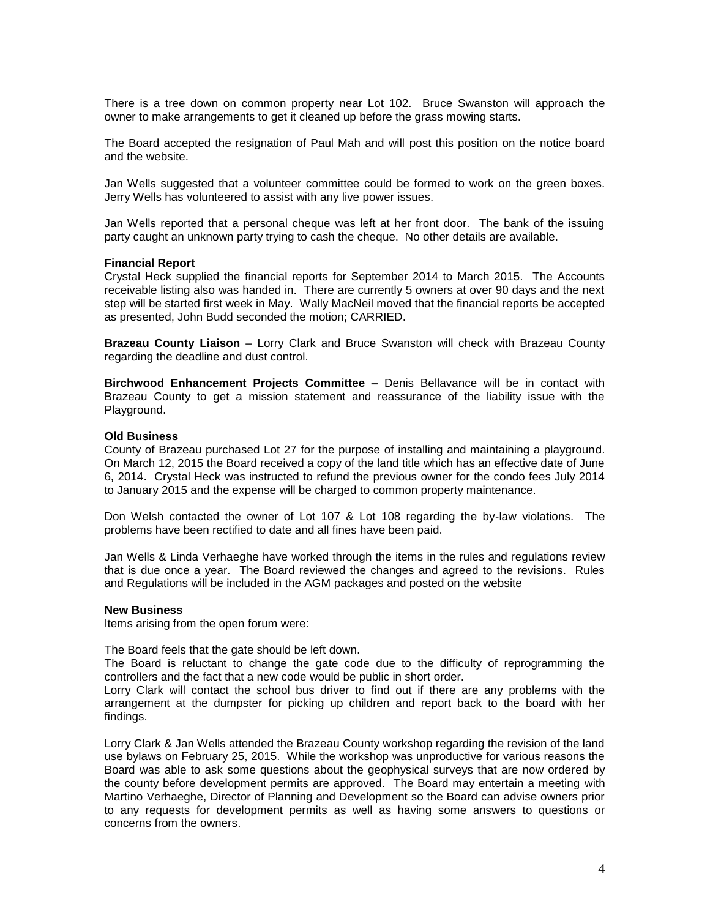There is a tree down on common property near Lot 102. Bruce Swanston will approach the owner to make arrangements to get it cleaned up before the grass mowing starts.

The Board accepted the resignation of Paul Mah and will post this position on the notice board and the website.

Jan Wells suggested that a volunteer committee could be formed to work on the green boxes. Jerry Wells has volunteered to assist with any live power issues.

Jan Wells reported that a personal cheque was left at her front door. The bank of the issuing party caught an unknown party trying to cash the cheque. No other details are available.

#### **Financial Report**

Crystal Heck supplied the financial reports for September 2014 to March 2015. The Accounts receivable listing also was handed in. There are currently 5 owners at over 90 days and the next step will be started first week in May. Wally MacNeil moved that the financial reports be accepted as presented, John Budd seconded the motion; CARRIED.

**Brazeau County Liaison** – Lorry Clark and Bruce Swanston will check with Brazeau County regarding the deadline and dust control.

**Birchwood Enhancement Projects Committee –** Denis Bellavance will be in contact with Brazeau County to get a mission statement and reassurance of the liability issue with the Playground.

#### **Old Business**

County of Brazeau purchased Lot 27 for the purpose of installing and maintaining a playground. On March 12, 2015 the Board received a copy of the land title which has an effective date of June 6, 2014. Crystal Heck was instructed to refund the previous owner for the condo fees July 2014 to January 2015 and the expense will be charged to common property maintenance.

Don Welsh contacted the owner of Lot 107 & Lot 108 regarding the by-law violations. The problems have been rectified to date and all fines have been paid.

Jan Wells & Linda Verhaeghe have worked through the items in the rules and regulations review that is due once a year. The Board reviewed the changes and agreed to the revisions. Rules and Regulations will be included in the AGM packages and posted on the website

#### **New Business**

Items arising from the open forum were:

The Board feels that the gate should be left down.

The Board is reluctant to change the gate code due to the difficulty of reprogramming the controllers and the fact that a new code would be public in short order.

Lorry Clark will contact the school bus driver to find out if there are any problems with the arrangement at the dumpster for picking up children and report back to the board with her findings.

Lorry Clark & Jan Wells attended the Brazeau County workshop regarding the revision of the land use bylaws on February 25, 2015. While the workshop was unproductive for various reasons the Board was able to ask some questions about the geophysical surveys that are now ordered by the county before development permits are approved. The Board may entertain a meeting with Martino Verhaeghe, Director of Planning and Development so the Board can advise owners prior to any requests for development permits as well as having some answers to questions or concerns from the owners.